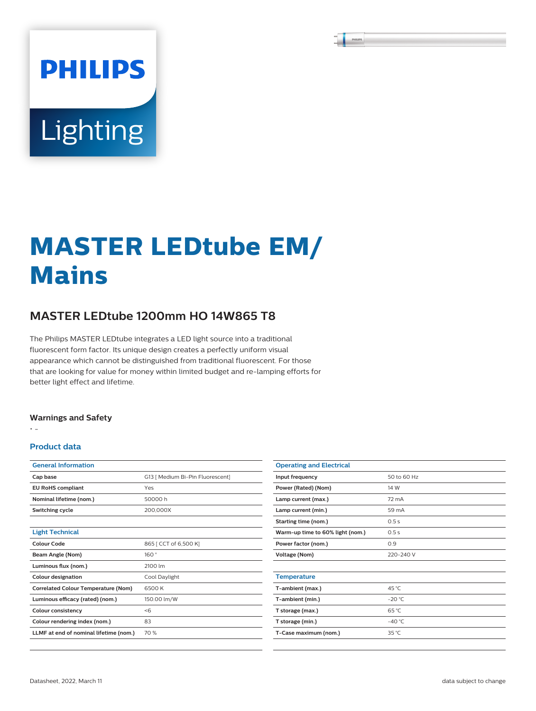# Lighting

**PHILIPS** 

# **MASTER LEDtube EM/ Mains**

# **MASTER LEDtube 1200mm HO 14W865 T8**

The Philips MASTER LEDtube integrates a LED light source into a traditional fluorescent form factor. Its unique design creates a perfectly uniform visual appearance which cannot be distinguished from traditional fluorescent. For those that are looking for value for money within limited budget and re-lamping efforts for better light effect and lifetime.

# **Warnings and Safety**

• -

# **Product data**

| <b>General Information</b>                 |                                  |
|--------------------------------------------|----------------------------------|
| Cap base                                   | G13   Medium Bi-Pin Fluorescent] |
| <b>EU RoHS compliant</b>                   | Yes                              |
| Nominal lifetime (nom.)                    | 50000 h                          |
| Switching cycle                            | 200.000X                         |
|                                            |                                  |
| <b>Light Technical</b>                     |                                  |
| Colour Code                                | 865 [ CCT of 6,500 K]            |
| Beam Angle (Nom)                           | 160°                             |
| Luminous flux (nom.)                       | 2100 lm                          |
| <b>Colour designation</b>                  | Cool Daylight                    |
| <b>Correlated Colour Temperature (Nom)</b> | 6500 K                           |
| Luminous efficacy (rated) (nom.)           | 150.00 lm/W                      |
| <b>Colour consistency</b>                  | < 6                              |
| Colour rendering index (nom.)              | 83                               |
| LLMF at end of nominal lifetime (nom.)     | 70 %                             |
|                                            |                                  |

| <b>Operating and Electrical</b>  |                |  |  |  |
|----------------------------------|----------------|--|--|--|
| Input frequency                  | 50 to 60 Hz    |  |  |  |
| Power (Rated) (Nom)              | 14 W           |  |  |  |
| Lamp current (max.)              | 72 mA          |  |  |  |
| Lamp current (min.)              | 59 mA          |  |  |  |
| Starting time (nom.)             | 0.5s           |  |  |  |
| Warm-up time to 60% light (nom.) | 0.5s           |  |  |  |
| Power factor (nom.)              | 0.9            |  |  |  |
| <b>Voltage (Nom)</b>             | 220-240 V      |  |  |  |
|                                  |                |  |  |  |
| <b>Temperature</b>               |                |  |  |  |
| T-ambient (max.)                 | 45 °C          |  |  |  |
| T-ambient (min.)                 | $-20 °C$       |  |  |  |
| T storage (max.)                 | 65 °C          |  |  |  |
| T storage (min.)                 | $-40 °C$       |  |  |  |
| T-Case maximum (nom.)            | $35^{\circ}$ C |  |  |  |
|                                  |                |  |  |  |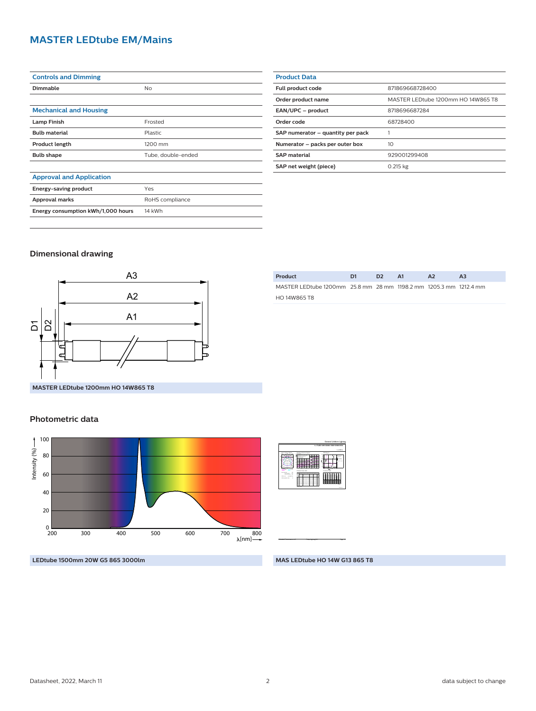# **MASTER LEDtube EM/Mains**

| <b>Controls and Dimming</b>        |                    |  |  |
|------------------------------------|--------------------|--|--|
| <b>Dimmable</b>                    | No                 |  |  |
|                                    |                    |  |  |
| <b>Mechanical and Housing</b>      |                    |  |  |
| <b>Lamp Finish</b>                 | Frosted            |  |  |
| <b>Bulb material</b>               | Plastic            |  |  |
| <b>Product length</b>              | 1200 mm            |  |  |
| <b>Bulb shape</b>                  | Tube, double-ended |  |  |
|                                    |                    |  |  |
| <b>Approval and Application</b>    |                    |  |  |
| Energy-saving product              | Yes                |  |  |
| Approval marks                     | RoHS compliance    |  |  |
| Energy consumption kWh/1,000 hours | 14 kWh             |  |  |

| <b>Product Data</b>               |                                    |
|-----------------------------------|------------------------------------|
| Full product code                 | 871869668728400                    |
| Order product name                | MASTER LEDtube 1200mm HO 14W865 T8 |
| EAN/UPC - product                 | 8718696687284                      |
| Order code                        | 68728400                           |
| SAP numerator - quantity per pack |                                    |
| Numerator - packs per outer box   | 10                                 |
| <b>SAP material</b>               | 929001299408                       |
| SAP net weight (piece)            | 0.215 kg                           |

# **Dimensional drawing**



| Product                                                           | D <sub>1</sub> | D <sub>2</sub> | <b>A1</b> | A2 |  |
|-------------------------------------------------------------------|----------------|----------------|-----------|----|--|
| MASTER LEDtube 1200mm 25.8 mm 28 mm 1198.2 mm 1205.3 mm 1212.4 mm |                |                |           |    |  |
| HO 14W865 T8                                                      |                |                |           |    |  |
|                                                                   |                |                |           |    |  |

# **Photometric data**



Light output ratio 1.000 cm Service upward 0.15 Cie film code 40 89 85 100 UGRAPH (4HX8H) 24 H Polar intensity diagram 180<sup>o</sup>  $-$ 0-180<sup>o</sup> 90-270<sup>o</sup> <sup>0</sup> 図 Utilisation factor table Ceiling mounted in Room Index k 1.50  $-1$  $-1$ 0.50 0.10 0.41 0.50  $-1$  $-1$  $\approx$  $-84$  $-89.89$ 0.91 0.70 0.30 0.10 0.32 0.40  $-1$  $-1$ 0.59 0.670.73 0.77 0.82 0.85 0.56  $-1$  $\rightarrow$  $-1$  $-26$  $-33$  $-1$  $-1$  $-1$  $\equiv$ 1. 0.69  $-1$  $-1$  $-1$  $\rightarrow$  $\overline{\phantom{a}}$  $-25$  $-3$  $-1$  $-1$  $-49$  $\equiv$ 0.66  $\overline{\phantom{a}}$  $-1$ 0.00  $-1$  $-1$  $-222$  $-28$ 0.34 0.40  $-1$ 0.510.56 0.60  $-1$  $-1$ Quantity estimation diagram n alimentos.  $\overline{\phantom{a}}$ 10 20 30 40 <sup>2</sup> 10 30 50 70 90 (m 300 lx 500 lx 750 lx hroom: 2.8 m UGR diagram 4.0 4.0 8.0 8.0 12.0 16.0 16.0 m **m** m  $\sim$ Y <sup>h</sup>room: 2.8 m Refl: 0.70 0.50 0.20 Ceiling mounted : viewed crosswise <sup>Y</sup> : Parallel to viewing dir. 22 25 - 22 25 25 Luminance Table  $2.2$ 0.0 15.0 30.0 45.0 60.0 75.0 90.0 50.0 55.0 65.0 70.0  $\sim$ 85.0 Plane Cone <sup>8311</sup> <sup>7813</sup> <sup>6871</sup> <sup>6455</sup> <sup>5786</sup> <sup>5511</sup> --<sup>7737</sup> --<sup>6180</sup> <sup>5457</sup> <sup>5160</sup> <sup>9002</sup> <sup>8330</sup> <sup>7011</sup> <sup>6388</sup> <sup>5276</sup> <sup>4806</sup> <sup>9491</sup> <sup>7922</sup> <sup>4312</sup> <sup>12960</sup> <sup>12375</sup> 1170 <sup>10945</sup> <sup>10067</sup> <sup>9044</sup> <sup>7775</sup> <sup>6024</sup> <sup>3532</sup> <sup>1403</sup>

 **1 x TLED 14W 6500K 150D 9290012994** 1 x 2100 lm

General Uniform Lighting

**LEDtube 1500mm 20W G5 865 3000lm**

**MAS LEDtube HO 14W G13 865 T8**

CalcuLuX Photometrics 4.5 Philips Lighting B.V. Page: 1/1 Page: 1/1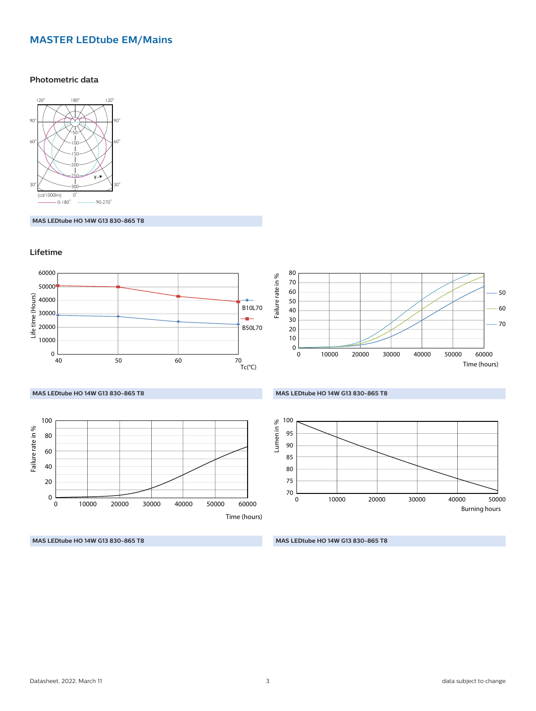# **MASTER LEDtube EM/Mains**

## **Photometric data**



**MAS LEDtube HO 14W G13 830-865 T8**

# **Lifetime**



**MAS LEDtube HO 14W G13 830-865 T8**

**MAS LEDtube HO 14W G13 830-865 T8**